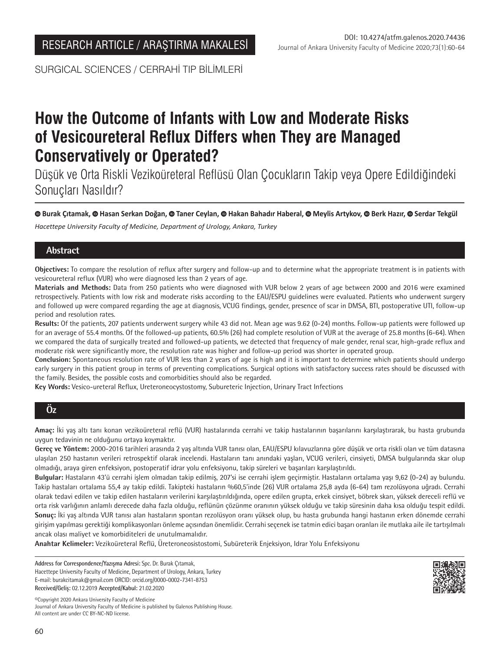SURGICAL SCIENCES / CERRAHİ TIP BİLİMLERİ

# **How the Outcome of Infants with Low and Moderate Risks of Vesicoureteral Reflux Differs when They are Managed Conservatively or Operated?**

Düşük ve Orta Riskli Vezikoüreteral Reflüsü Olan Çocukların Takip veya Opere Edildiğindeki Sonuçları Nasıldır?

## **Burak Çıtamak, Hasan Serkan Doğan,Taner Ceylan,Hakan Bahadır Haberal,Meylis Artykov, Berk Hazır,Serdar Tekgül**

*Hacettepe University Faculty of Medicine, Department of Urology, Ankara, Turkey*

# **Abstract**

**Objectives:** To compare the resolution of reflux after surgery and follow-up and to determine what the appropriate treatment is in patients with vesicoureteral reflux (VUR) who were diagnosed less than 2 years of age.

**Materials and Methods:** Data from 250 patients who were diagnosed with VUR below 2 years of age between 2000 and 2016 were examined retrospectively. Patients with low risk and moderate risks according to the EAU/ESPU guidelines were evaluated. Patients who underwent surgery and followed up were compared regarding the age at diagnosis, VCUG findings, gender, presence of scar in DMSA, BTI, postoperative UTI, follow-up period and resolution rates.

**Results:** Of the patients, 207 patients underwent surgery while 43 did not. Mean age was 9.62 (0-24) months. Follow-up patients were followed up for an average of 55.4 months. Of the followed-up patients, 60.5% (26) had complete resolution of VUR at the average of 25.8 months (6-64). When we compared the data of surgically treated and followed-up patients, we detected that frequency of male gender, renal scar, high-grade reflux and moderate risk were significantly more, the resolution rate was higher and follow-up period was shorter in operated group.

**Conclusion:** Spontaneous resolution rate of VUR less than 2 years of age is high and it is important to determine which patients should undergo early surgery in this patient group in terms of preventing complications. Surgical options with satisfactory success rates should be discussed with the family. Besides, the possible costs and comorbidities should also be regarded.

**Key Words:** Vesico-ureteral Reflux, Ureteroneocystostomy, Subureteric Injection, Urinary Tract Infections

# **Öz**

**Amaç:** İki yaş altı tanı konan vezikoüreteral reflü (VUR) hastalarında cerrahi ve takip hastalarının başarılarını karşılaştırarak, bu hasta grubunda uygun tedavinin ne olduğunu ortaya koymaktır.

**Gereç ve Yöntem:** 2000-2016 tarihleri arasında 2 yaş altında VUR tanısı olan, EAU/ESPU kılavuzlarına göre düşük ve orta riskli olan ve tüm datasına ulaşılan 250 hastanın verileri retrospektif olarak incelendi. Hastaların tanı anındaki yaşları, VCUG verileri, cinsiyeti, DMSA bulgularında skar olup olmadığı, araya giren enfeksiyon, postoperatif idrar yolu enfeksiyonu, takip süreleri ve başarıları karşılaştırıldı.

**Bulgular:** Hastaların 43'ü cerrahi işlem olmadan takip edilmiş, 207'si ise cerrahi işlem geçirmiştir. Hastaların ortalama yaşı 9,62 (0-24) ay bulundu. Takip hastaları ortalama 55,4 ay takip edildi. Takipteki hastaların %60,5'inde (26) VUR ortalama 25,8 ayda (6-64) tam rezolüsyona uğradı. Cerrahi olarak tedavi edilen ve takip edilen hastaların verilerini karşılaştırıldığında, opere edilen grupta, erkek cinsiyet, böbrek skarı, yüksek dereceli reflü ve orta risk varlığının anlamlı derecede daha fazla olduğu, reflünün çözünme oranının yüksek olduğu ve takip süresinin daha kısa olduğu tespit edildi. **Sonuç:** İki yaş altında VUR tanısı alan hastaların spontan rezolüsyon oranı yüksek olup, bu hasta grubunda hangi hastanın erken dönemde cerrahi girişim yapılması gerektiği komplikasyonları önleme açısından önemlidir. Cerrahi seçenek ise tatmin edici başarı oranları ile mutlaka aile ile tartışılmalı ancak olası maliyet ve komorbiditeleri de unutulmamalıdır.

**Anahtar Kelimeler:** Vezikoüreteral Reflü, Üreteroneosistostomi, Subüreterik Enjeksiyon, Idrar Yolu Enfeksiyonu

**Address for Correspondence/Yazışma Adresi:** Spc. Dr. Burak Çıtamak, Hacettepe University Faculty of Medicine, Department of Urology, Ankara, Turkey E-mail: burakcitamak@gmail.com ORCID: orcid.org/0000-0002-7341-8753 **Received/Geliş:** 02.12.2019 **Accepted/Kabul:** 21.02.2020

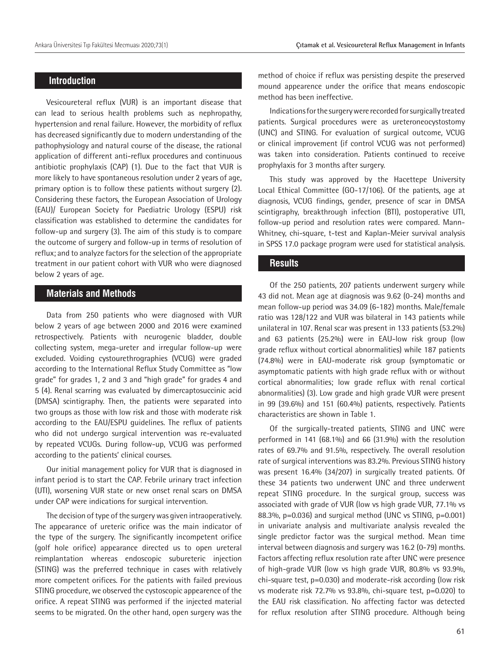# **Introduction**

Vesicoureteral reflux (VUR) is an important disease that can lead to serious health problems such as nephropathy, hypertension and renal failure. However, the morbidity of reflux has decreased significantly due to modern understanding of the pathophysiology and natural course of the disease, the rational application of different anti-reflux procedures and continuous antibiotic prophylaxis (CAP) (1). Due to the fact that VUR is more likely to have spontaneous resolution under 2 years of age, primary option is to follow these patients without surgery (2). Considering these factors, the European Association of Urology (EAU)/ European Society for Paediatric Urology (ESPU) risk classification was established to determine the candidates for follow-up and surgery (3). The aim of this study is to compare the outcome of surgery and follow-up in terms of resolution of reflux; and to analyze factors for the selection of the appropriate treatment in our patient cohort with VUR who were diagnosed below 2 years of age.

## **Materials and Methods**

Data from 250 patients who were diagnosed with VUR below 2 years of age between 2000 and 2016 were examined retrospectively. Patients with neurogenic bladder, double collecting system, mega-ureter and irregular follow-up were excluded. Voiding cystourethrographies (VCUG) were graded according to the International Reflux Study Committee as "low grade" for grades 1, 2 and 3 and "high grade" for grades 4 and 5 (4). Renal scarring was evaluated by dimercaptosuccinic acid (DMSA) scintigraphy. Then, the patients were separated into two groups as those with low risk and those with moderate risk according to the EAU/ESPU guidelines. The reflux of patients who did not undergo surgical intervention was re-evaluated by repeated VCUGs. During follow-up, VCUG was performed according to the patients' clinical courses.

Our initial management policy for VUR that is diagnosed in infant period is to start the CAP. Febrile urinary tract infection (UTI), worsening VUR state or new onset renal scars on DMSA under CAP were indications for surgical intervention.

The decision of type of the surgery was given intraoperatively. The appearance of ureteric orifice was the main indicator of the type of the surgery. The significantly incompetent orifice (golf hole orifice) appearance directed us to open ureteral reimplantation whereas endoscopic subureteric injection (STING) was the preferred technique in cases with relatively more competent orifices. For the patients with failed previous STING procedure, we observed the cystoscopic appearence of the orifice. A repeat STING was performed if the injected material seems to be migrated. On the other hand, open surgery was the

method of choice if reflux was persisting despite the preserved mound appearence under the orifice that means endoscopic method has been ineffective.

Indications for the surgery were recorded for surgically treated patients. Surgical procedures were as ureteroneocystostomy (UNC) and STING. For evaluation of surgical outcome, VCUG or clinical improvement (if control VCUG was not performed) was taken into consideration. Patients continued to receive prophylaxis for 3 months after surgery.

This study was approved by the Hacettepe University Local Ethical Committee (GO-17/106). Of the patients, age at diagnosis, VCUG findings, gender, presence of scar in DMSA scintigraphy, breakthrough infection (BTI), postoperative UTI, follow-up period and resolution rates were compared. Mann-Whitney, chi-square, t-test and Kaplan-Meier survival analysis in SPSS 17.0 package program were used for statistical analysis.

#### **Results**

Of the 250 patients, 207 patients underwent surgery while 43 did not. Mean age at diagnosis was 9.62 (0-24) months and mean follow-up period was 34.09 (6-182) months. Male/female ratio was 128/122 and VUR was bilateral in 143 patients while unilateral in 107. Renal scar was present in 133 patients (53.2%) and 63 patients (25.2%) were in EAU-low risk group (low grade reflux without cortical abnormalities) while 187 patients (74.8%) were in EAU-moderate risk group (symptomatic or asymptomatic patients with high grade reflux with or without cortical abnormalities; low grade reflux with renal cortical abnormalities) (3). Low grade and high grade VUR were present in 99 (39.6%) and 151 (60.4%) patients, respectively. Patients characteristics are shown in Table 1.

Of the surgically-treated patients, STING and UNC were performed in 141 (68.1%) and 66 (31.9%) with the resolution rates of 69.7% and 91.5%, respectively. The overall resolution rate of surgical interventions was 83.2%. Previous STING history was present 16.4% (34/207) in surgically treated patients. Of these 34 patients two underwent UNC and three underwent repeat STING procedure. In the surgical group, success was associated with grade of VUR (low vs high grade VUR, 77.1% vs 88.3%,  $p=0.036$ ) and surgical method (UNC vs STING,  $p=0.001$ ) in univariate analysis and multivariate analysis revealed the single predictor factor was the surgical method. Mean time interval between diagnosis and surgery was 16.2 (0-79) months. Factors affecting reflux resolution rate after UNC were presence of high-grade VUR (low vs high grade VUR, 80.8% vs 93.9%, chi-square test, p=0.030) and moderate-risk according (low risk vs moderate risk 72.7% vs 93.8%, chi-square test, p=0.020) to the EAU risk classification. No affecting factor was detected for reflux resolution after STING procedure. Although being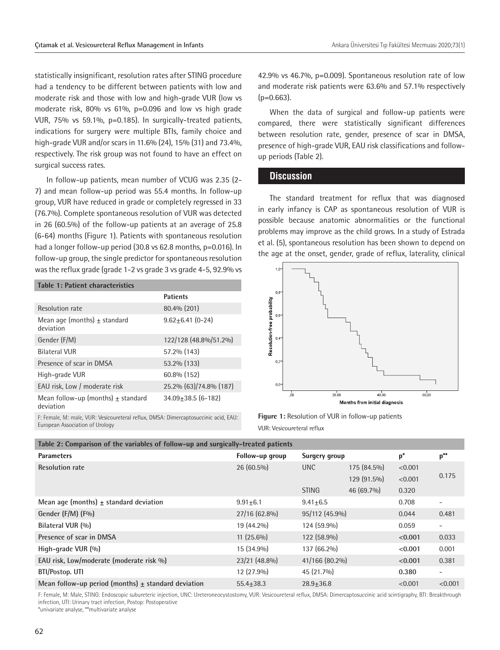statistically insignificant, resolution rates after STING procedure had a tendency to be different between patients with low and moderate risk and those with low and high-grade VUR (low vs moderate risk, 80% vs 61%, p=0.096 and low vs high grade VUR, 75% vs 59.1%, p=0.185). In surgically-treated patients, indications for surgery were multiple BTIs, family choice and high-grade VUR and/or scars in 11.6% (24), 15% (31) and 73.4%, respectively. The risk group was not found to have an effect on surgical success rates.

In follow-up patients, mean number of VCUG was 2.35 (2- 7) and mean follow-up period was 55.4 months. In follow-up group, VUR have reduced in grade or completely regressed in 33 (76.7%). Complete spontaneous resolution of VUR was detected in 26 (60.5%) of the follow-up patients at an average of 25.8 (6-64) months (Figure 1). Patients with spontaneous resolution had a longer follow-up period (30.8 vs 62.8 months, p=0.016). In follow-up group, the single predictor for spontaneous resolution was the reflux grade (grade 1-2 vs grade 3 vs grade 4-5, 92.9% vs

| Table 1: Patient characteristics                    |                        |  |  |  |  |
|-----------------------------------------------------|------------------------|--|--|--|--|
|                                                     | <b>Patients</b>        |  |  |  |  |
| Resolution rate                                     | 80.4% (201)            |  |  |  |  |
| Mean age (months) $\pm$ standard<br>deviation       | $9.62 + 6.41(0 - 24)$  |  |  |  |  |
| Gender (F/M)                                        | 122/128 (48.8%/51.2%)  |  |  |  |  |
| <b>Bilateral VUR</b>                                | 57.2% (143)            |  |  |  |  |
| Presence of scar in DMSA                            | 53.2% (133)            |  |  |  |  |
| High-grade VUR                                      | 60.8% (152)            |  |  |  |  |
| EAU risk, Low / moderate risk                       | 25.2% (63)/74.8% (187) |  |  |  |  |
| Mean follow-up (months) $\pm$ standard<br>deviation | $34.09 + 38.5$ (6-182) |  |  |  |  |
|                                                     |                        |  |  |  |  |

F: Female, M: male, VUR: Vesicoureteral reflux, DMSA: Dimercaptosuccinic acid, EAU: European Association of Urology

42.9% vs 46.7%, p=0.009). Spontaneous resolution rate of low and moderate risk patients were 63.6% and 57.1% respectively  $(p=0.663)$ .

When the data of surgical and follow-up patients were compared, there were statistically significant differences between resolution rate, gender, presence of scar in DMSA, presence of high-grade VUR, EAU risk classifications and followup periods (Table 2).

#### **Discussion**

The standard treatment for reflux that was diagnosed in early infancy is CAP as spontaneous resolution of VUR is possible because anatomic abnormalities or the functional problems may improve as the child grows. In a study of Estrada et al. (5), spontaneous resolution has been shown to depend on the age at the onset, gender, grade of reflux, laterality, clinical



**Figure 1:** Resolution of VUR in follow-up patients VUR: Vesicoureteral reflux

| Table 2: Comparison of the variables of follow-up and surgically-treated patients |                 |                |             |         |                          |  |
|-----------------------------------------------------------------------------------|-----------------|----------------|-------------|---------|--------------------------|--|
| <b>Parameters</b>                                                                 | Follow-up group | Surgery group  |             | $p^*$   | $p^{**}$                 |  |
| <b>Resolution rate</b>                                                            | $26(60.5\%)$    | UNC            | 175 (84.5%) | < 0.001 |                          |  |
|                                                                                   |                 |                | 129 (91.5%) | < 0.001 | 0.175                    |  |
|                                                                                   |                 | <b>STING</b>   | 46 (69.7%)  | 0.320   |                          |  |
| Mean age (months) $\pm$ standard deviation                                        | $9.91 + 6.1$    | $9.41 + 6.5$   |             | 0.708   | $\overline{\phantom{a}}$ |  |
| Gender (F/M) (F%)                                                                 | 27/16 (62.8%)   | 95/112 (45.9%) |             | 0.044   | 0.481                    |  |
| Bilateral VUR (%)                                                                 | 19 (44.2%)      | 124 (59.9%)    |             | 0.059   | $\overline{\phantom{a}}$ |  |
| Presence of scar in DMSA                                                          | $11(25.6\%)$    | 122 (58.9%)    |             | < 0.001 | 0.033                    |  |
| High-grade VUR $(\%)$                                                             | 15 (34.9%)      | 137 (66.2%)    |             | < 0.001 | 0.001                    |  |
| EAU risk, Low/moderate (moderate risk %)                                          | 23/21 (48.8%)   | 41/166 (80.2%) |             | < 0.001 | 0.381                    |  |
| BTI/Postop. UTI                                                                   | $12(27.9\%)$    | 45 (21.7%)     |             | 0.380   | $\overline{\phantom{a}}$ |  |
| Mean follow-up period (months) $\pm$ standard deviation                           | $55.4 + 38.3$   | $28.9 + 36.8$  |             | < 0.001 | < 0.001                  |  |
|                                                                                   |                 |                |             |         |                          |  |

F: Female, M: Male, STING: Endoscopic subureteric injection, UNC: Ureteroneocystostomy, VUR: Vesicoureteral reflux, DMSA: Dimercaptosuccinic acid scintigraphy, BTI: Breakthrough infection, UTI: Urinary tract infection, Postop: Postoperative

\*univariate analyse, \*\*multivariate analyse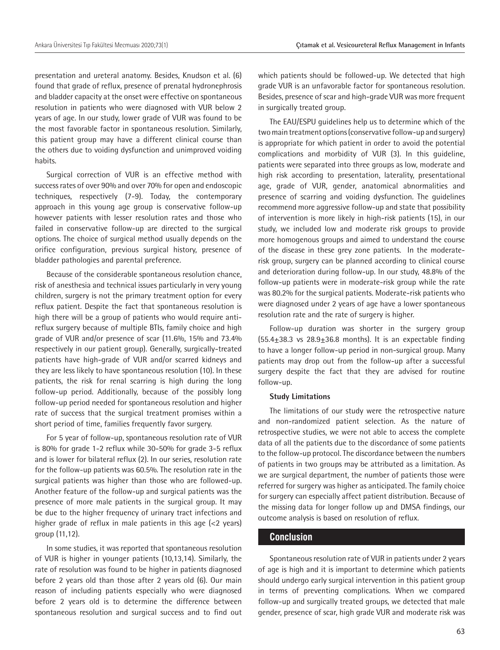presentation and ureteral anatomy. Besides, Knudson et al. (6) found that grade of reflux, presence of prenatal hydronephrosis and bladder capacity at the onset were effective on spontaneous resolution in patients who were diagnosed with VUR below 2 years of age. In our study, lower grade of VUR was found to be the most favorable factor in spontaneous resolution. Similarly, this patient group may have a different clinical course than the others due to voiding dysfunction and unimproved voiding habits.

Surgical correction of VUR is an effective method with success rates of over 90% and over 70% for open and endoscopic techniques, respectively (7-9). Today, the contemporary approach in this young age group is conservative follow-up however patients with lesser resolution rates and those who failed in conservative follow-up are directed to the surgical options. The choice of surgical method usually depends on the orifice configuration, previous surgical history, presence of bladder pathologies and parental preference.

Because of the considerable spontaneous resolution chance, risk of anesthesia and technical issues particularly in very young children, surgery is not the primary treatment option for every reflux patient. Despite the fact that spontaneous resolution is high there will be a group of patients who would require antireflux surgery because of multiple BTIs, family choice and high grade of VUR and/or presence of scar (11.6%, 15% and 73.4% respectively in our patient group). Generally, surgically-treated patients have high-grade of VUR and/or scarred kidneys and they are less likely to have spontaneous resolution (10). In these patients, the risk for renal scarring is high during the long follow-up period. Additionally, because of the possibly long follow-up period needed for spontaneous resolution and higher rate of success that the surgical treatment promises within a short period of time, families frequently favor surgery.

For 5 year of follow-up, spontaneous resolution rate of VUR is 80% for grade 1-2 reflux while 30-50% for grade 3-5 reflux and is lower for bilateral reflux (2). In our series, resolution rate for the follow-up patients was 60.5%. The resolution rate in the surgical patients was higher than those who are followed-up. Another feature of the follow-up and surgical patients was the presence of more male patients in the surgical group. It may be due to the higher frequency of urinary tract infections and higher grade of reflux in male patients in this age (<2 years) group (11,12).

In some studies, it was reported that spontaneous resolution of VUR is higher in younger patients (10,13,14). Similarly, the rate of resolution was found to be higher in patients diagnosed before 2 years old than those after 2 years old (6). Our main reason of including patients especially who were diagnosed before 2 years old is to determine the difference between spontaneous resolution and surgical success and to find out

which patients should be followed-up. We detected that high grade VUR is an unfavorable factor for spontaneous resolution. Besides, presence of scar and high-grade VUR was more frequent in surgically treated group.

The EAU/ESPU guidelines help us to determine which of the two main treatment options (conservative follow-up and surgery) is appropriate for which patient in order to avoid the potential complications and morbidity of VUR (3). In this guideline, patients were separated into three groups as low, moderate and high risk according to presentation, laterality, presentational age, grade of VUR, gender, anatomical abnormalities and presence of scarring and voiding dysfunction. The guidelines recommend more aggressive follow-up and state that possibility of intervention is more likely in high-risk patients (15), in our study, we included low and moderate risk groups to provide more homogenous groups and aimed to understand the course of the disease in these grey zone patients. In the moderaterisk group, surgery can be planned according to clinical course and deterioration during follow-up. In our study, 48.8% of the follow-up patients were in moderate-risk group while the rate was 80.2% for the surgical patients. Moderate-risk patients who were diagnosed under 2 years of age have a lower spontaneous resolution rate and the rate of surgery is higher.

Follow-up duration was shorter in the surgery group  $(55.4\pm38.3 \text{ vs } 28.9\pm36.8 \text{ months})$ . It is an expectable finding to have a longer follow-up period in non-surgical group. Many patients may drop out from the follow-up after a successful surgery despite the fact that they are advised for routine follow-up.

#### **Study Limitations**

The limitations of our study were the retrospective nature and non-randomized patient selection. As the nature of retrospective studies, we were not able to access the complete data of all the patients due to the discordance of some patients to the follow-up protocol. The discordance between the numbers of patients in two groups may be attributed as a limitation. As we are surgical department, the number of patients those were referred for surgery was higher as anticipated. The family choice for surgery can especially affect patient distribution. Because of the missing data for longer follow up and DMSA findings, our outcome analysis is based on resolution of reflux.

### **Conclusion**

Spontaneous resolution rate of VUR in patients under 2 years of age is high and it is important to determine which patients should undergo early surgical intervention in this patient group in terms of preventing complications. When we compared follow-up and surgically treated groups, we detected that male gender, presence of scar, high grade VUR and moderate risk was